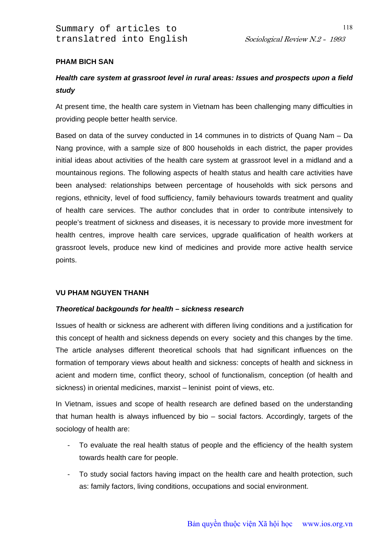## **PHAM BICH SAN**

# *Health care system at grassroot level in rural areas: Issues and prospects upon a field study*

At present time, the health care system in Vietnam has been challenging many difficulties in providing people better health service.

Based on data of the survey conducted in 14 communes in to districts of Quang Nam – Da Nang province, with a sample size of 800 households in each district, the paper provides initial ideas about activities of the health care system at grassroot level in a midland and a mountainous regions. The following aspects of health status and health care activities have been analysed: relationships between percentage of households with sick persons and regions, ethnicity, level of food sufficiency, family behaviours towards treatment and quality of health care services. The author concludes that in order to contribute intensively to people's treatment of sickness and diseases, it is necessary to provide more investment for health centres, improve health care services, upgrade qualification of health workers at grassroot levels, produce new kind of medicines and provide more active health service points.

## **VU PHAM NGUYEN THANH**

## *Theoretical backgounds for health – sickness research*

Issues of health or sickness are adherent with differen living conditions and a justification for this concept of health and sickness depends on every society and this changes by the time. The article analyses different theoretical schools that had significant influences on the formation of temporary views about health and sickness: concepts of health and sickness in acient and modern time, conflict theory, school of functionalism, conception (of health and sickness) in oriental medicines, marxist – leninist point of views, etc.

In Vietnam, issues and scope of health research are defined based on the understanding that human health is always influenced by bio – social factors. Accordingly, targets of the sociology of health are:

- To evaluate the real health status of people and the efficiency of the health system towards health care for people.
- To study social factors having impact on the health care and health protection, such as: family factors, living conditions, occupations and social environment.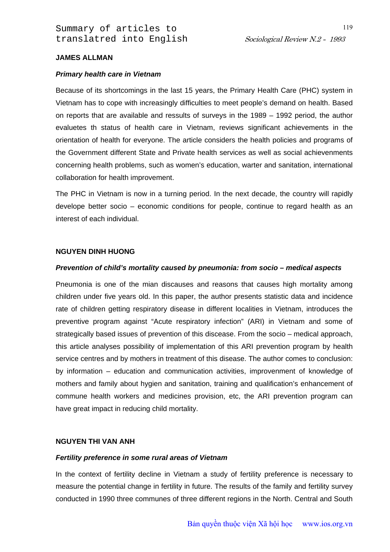Summary of articles to translatred into English Sociological Review N.2 - 1993

### **JAMES ALLMAN**

#### *Primary health care in Vietnam*

Because of its shortcomings in the last 15 years, the Primary Health Care (PHC) system in Vietnam has to cope with increasingly difficulties to meet people's demand on health. Based on reports that are available and ressults of surveys in the 1989 – 1992 period, the author evaluetes th status of health care in Vietnam, reviews significant achievements in the orientation of health for everyone. The article considers the health policies and programs of the Government different State and Private health services as well as social achievenments concerning health problems, such as women's education, warter and sanitation, international collaboration for health improvement.

The PHC in Vietnam is now in a turning period. In the next decade, the country will rapidly develope better socio – economic conditions for people, continue to regard health as an interest of each individual.

### **NGUYEN DINH HUONG**

#### *Prevention of child's mortality caused by pneumonia: from socio – medical aspects*

Pneumonia is one of the mian discauses and reasons that causes high mortality among children under five years old. In this paper, the author presents statistic data and incidence rate of children getting respiratory disease in different localities in Vietnam, introduces the preventive program against "Acute respiratory infection" (ARI) in Vietnam and some of strategically based issues of prevention of this discease. From the socio – medical approach, this article analyses possibility of implementation of this ARI prevention program by health service centres and by mothers in treatment of this disease. The author comes to conclusion: by information – education and communication activities, improvenment of knowledge of mothers and family about hygien and sanitation, training and qualification's enhancement of commune health workers and medicines provision, etc, the ARI prevention program can have great impact in reducing child mortality.

#### **NGUYEN THI VAN ANH**

#### *Fertility preference in some rural areas of Vietnam*

In the context of fertility decline in Vietnam a study of fertility preference is necessary to measure the potential change in fertility in future. The results of the family and fertility survey conducted in 1990 three communes of three different regions in the North. Central and South